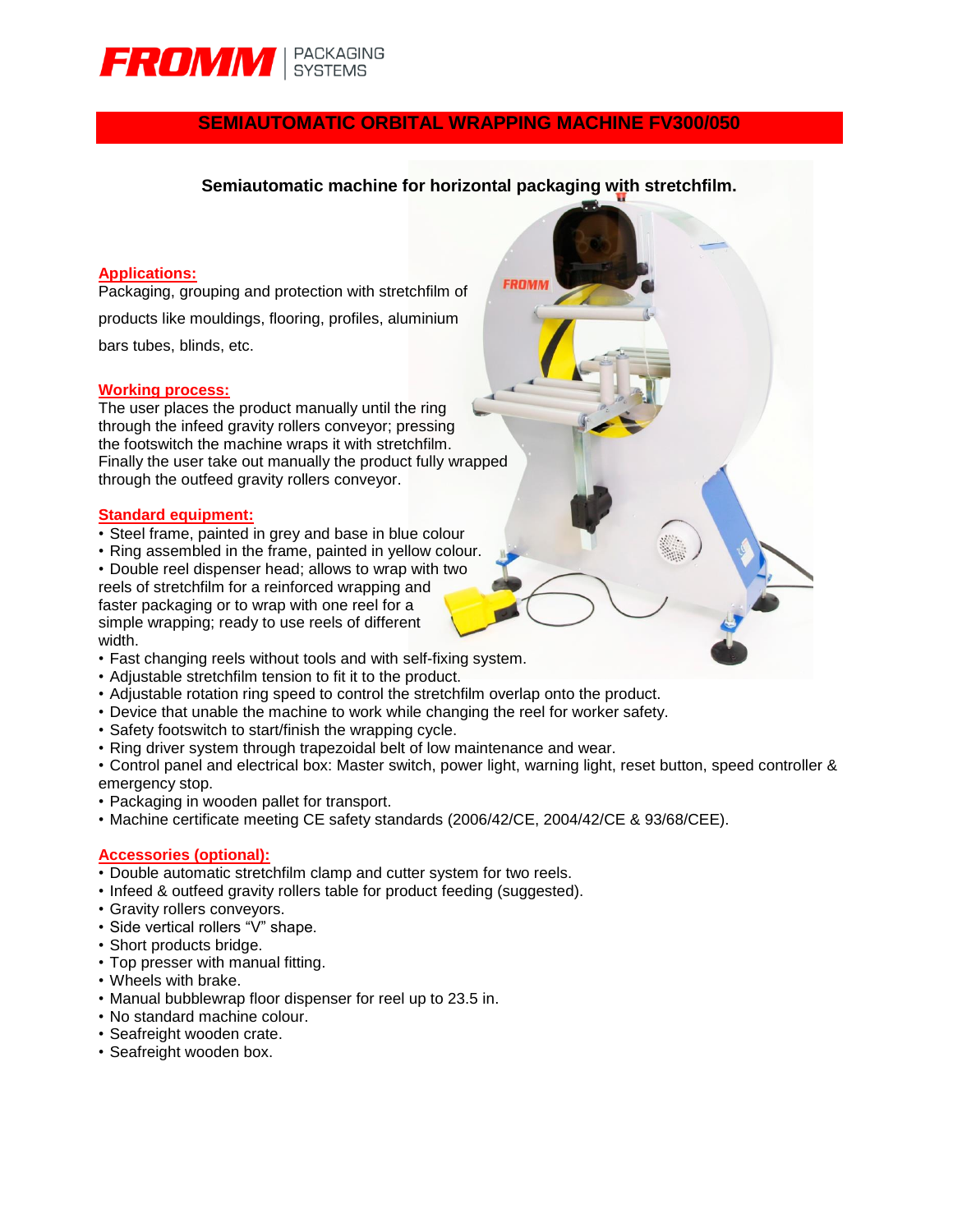

# **SEMIAUTOMATIC ORBITAL WRAPPING MACHINE FV300/050**

### **Semiautomatic machine for horizontal packaging with stretchfilm.**

**FROM** 

### **Applications:**

Packaging, grouping and protection with stretchfilm of products like mouldings, flooring, profiles, aluminium bars tubes, blinds, etc.

#### **Working process:**

The user places the product manually until the ring through the infeed gravity rollers conveyor; pressing the footswitch the machine wraps it with stretchfilm. Finally the user take out manually the product fully wrapped through the outfeed gravity rollers conveyor.

#### **Standard equipment:**

- Steel frame, painted in grey and base in blue colour
- Ring assembled in the frame, painted in yellow colour.
- Double reel dispenser head; allows to wrap with two reels of stretchfilm for a reinforced wrapping and faster packaging or to wrap with one reel for a simple wrapping; ready to use reels of different width.
- Fast changing reels without tools and with self-fixing system.
- Adjustable stretchfilm tension to fit it to the product.
- Adjustable rotation ring speed to control the stretchfilm overlap onto the product.
- Device that unable the machine to work while changing the reel for worker safety.
- Safety footswitch to start/finish the wrapping cycle.
- Ring driver system through trapezoidal belt of low maintenance and wear.

• Control panel and electrical box: Master switch, power light, warning light, reset button, speed controller & emergency stop.

- Packaging in wooden pallet for transport.
- Machine certificate meeting CE safety standards (2006/42/CE, 2004/42/CE & 93/68/CEE).

#### **Accessories (optional):**

- Double automatic stretchfilm clamp and cutter system for two reels.
- Infeed & outfeed gravity rollers table for product feeding (suggested).
- Gravity rollers conveyors.
- Side vertical rollers "V" shape.
- Short products bridge.
- Top presser with manual fitting.
- Wheels with brake.
- Manual bubblewrap floor dispenser for reel up to 23.5 in.
- No standard machine colour.
- Seafreight wooden crate.
- Seafreight wooden box.